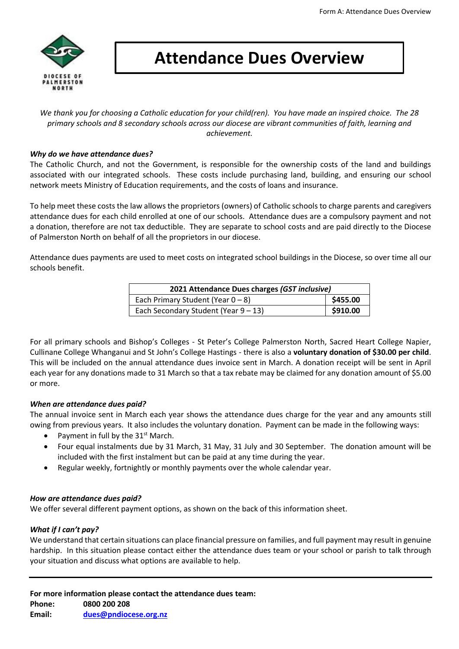

# **Attendance Dues Overview**

*We thank you for choosing a Catholic education for your child(ren). You have made an inspired choice. The 28 primary schools and 8 secondary schools across our diocese are vibrant communities of faith, learning and achievement.*

#### *Why do we have attendance dues?*

The Catholic Church, and not the Government, is responsible for the ownership costs of the land and buildings associated with our integrated schools. These costs include purchasing land, building, and ensuring our school network meets Ministry of Education requirements, and the costs of loans and insurance.

To help meet these costs the law allows the proprietors (owners) of Catholic schools to charge parents and caregivers attendance dues for each child enrolled at one of our schools. Attendance dues are a compulsory payment and not a donation, therefore are not tax deductible. They are separate to school costs and are paid directly to the Diocese of Palmerston North on behalf of all the proprietors in our diocese.

Attendance dues payments are used to meet costs on integrated school buildings in the Diocese, so over time all our schools benefit.

| 2021 Attendance Dues charges (GST inclusive) |          |  |
|----------------------------------------------|----------|--|
| Each Primary Student (Year $0 - 8$ )         | \$455.00 |  |
| Each Secondary Student (Year $9 - 13$ )      | \$910.00 |  |

For all primary schools and Bishop's Colleges - St Peter's College Palmerston North, Sacred Heart College Napier, Cullinane College Whanganui and St John's College Hastings - there is also a **voluntary donation of \$30.00 per child**. This will be included on the annual attendance dues invoice sent in March. A donation receipt will be sent in April each year for any donations made to 31 March so that a tax rebate may be claimed for any donation amount of \$5.00 or more.

# *When are attendance dues paid?*

The annual invoice sent in March each year shows the attendance dues charge for the year and any amounts still owing from previous years. It also includes the voluntary donation. Payment can be made in the following ways:

- Payment in full by the 31<sup>st</sup> March.
- Four equal instalments due by 31 March, 31 May, 31 July and 30 September. The donation amount will be included with the first instalment but can be paid at any time during the year.
- Regular weekly, fortnightly or monthly payments over the whole calendar year.

# *How are attendance dues paid?*

We offer several different payment options, as shown on the back of this information sheet.

# *What if I can't pay?*

We understand that certain situations can place financial pressure on families, and full payment may result in genuine hardship. In this situation please contact either the attendance dues team or your school or parish to talk through your situation and discuss what options are available to help.